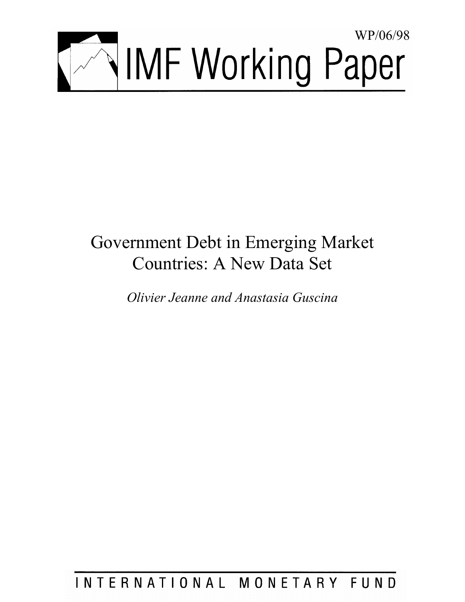

# Government Debt in Emerging Market Countries: A New Data Set

*Olivier Jeanne and Anastasia Guscina* 

INTERNATIONAL MONETARY FUND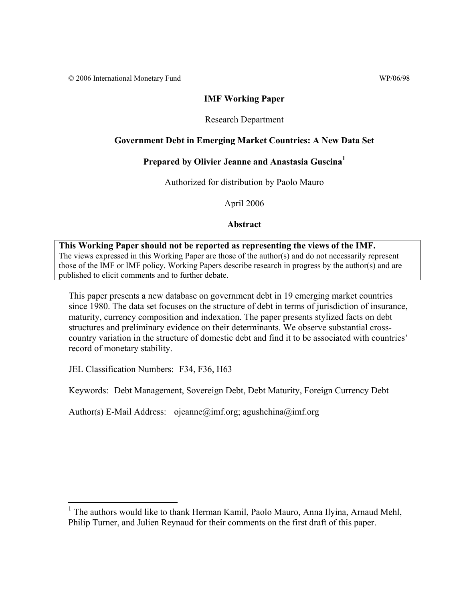© 2006 International Monetary Fund WP/06/98

# **IMF Working Paper**

## Research Department

# **Government Debt in Emerging Market Countries: A New Data Set**

# **Prepared by Olivier Jeanne and Anastasia Guscina1**

Authorized for distribution by Paolo Mauro

April 2006

## **Abstract**

# **This Working Paper should not be reported as representing the views of the IMF.** The views expressed in this Working Paper are those of the author(s) and do not necessarily represent those of the IMF or IMF policy. Working Papers describe research in progress by the author(s) and are

published to elicit comments and to further debate.

This paper presents a new database on government debt in 19 emerging market countries since 1980. The data set focuses on the structure of debt in terms of jurisdiction of insurance, maturity, currency composition and indexation. The paper presents stylized facts on debt structures and preliminary evidence on their determinants. We observe substantial crosscountry variation in the structure of domestic debt and find it to be associated with countries' record of monetary stability.

JEL Classification Numbers: F34, F36, H63

 $\overline{a}$ 

Keywords: Debt Management, Sovereign Debt, Debt Maturity, Foreign Currency Debt

Author(s) E-Mail Address: ojeanne@imf.org; agushchina@imf.org

<sup>&</sup>lt;sup>1</sup> The authors would like to thank Herman Kamil, Paolo Mauro, Anna Ilyina, Arnaud Mehl, Philip Turner, and Julien Reynaud for their comments on the first draft of this paper.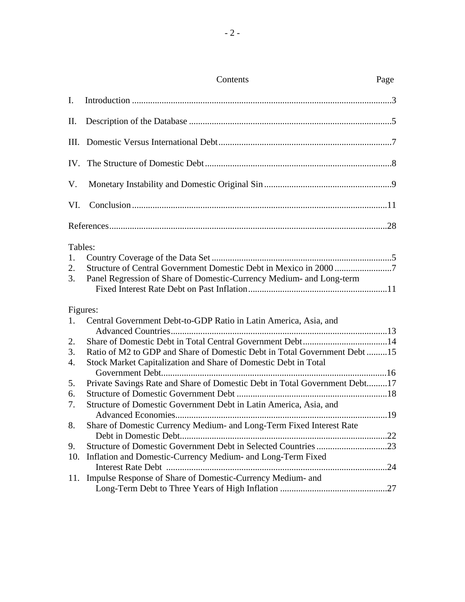|                           | Contents                                                                                                                                     | Page |
|---------------------------|----------------------------------------------------------------------------------------------------------------------------------------------|------|
| $\mathbf{I}$ .            |                                                                                                                                              |      |
| Π.                        |                                                                                                                                              |      |
| III.                      |                                                                                                                                              |      |
|                           |                                                                                                                                              |      |
| V.                        |                                                                                                                                              |      |
| VI.                       |                                                                                                                                              |      |
|                           |                                                                                                                                              |      |
| Tables:<br>1.<br>2.<br>3. | Panel Regression of Share of Domestic-Currency Medium- and Long-term                                                                         |      |
| 1.                        | Figures:<br>Central Government Debt-to-GDP Ratio in Latin America, Asia, and                                                                 |      |
| 2.<br>3.<br>4.            | Ratio of M2 to GDP and Share of Domestic Debt in Total Government Debt 15<br>Stock Market Capitalization and Share of Domestic Debt in Total |      |
| 5.<br>6.                  | Private Savings Rate and Share of Domestic Debt in Total Government Debt17                                                                   |      |
| 7.                        | Structure of Domestic Government Debt in Latin America, Asia, and                                                                            | 19   |
| 8.                        | Share of Domestic Currency Medium- and Long-Term Fixed Interest Rate                                                                         |      |
| 9.<br>10.                 | Structure of Domestic Government Debt in Selected Countries 23<br>Inflation and Domestic-Currency Medium- and Long-Term Fixed                |      |
| 11.                       | Impulse Response of Share of Domestic-Currency Medium- and                                                                                   |      |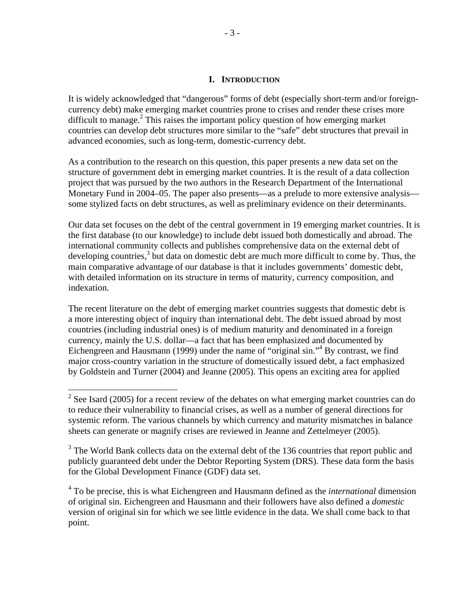#### **I. INTRODUCTION**

It is widely acknowledged that "dangerous" forms of debt (especially short-term and/or foreigncurrency debt) make emerging market countries prone to crises and render these crises more difficult to manage. $2$  This raises the important policy question of how emerging market countries can develop debt structures more similar to the "safe" debt structures that prevail in advanced economies, such as long-term, domestic-currency debt.

As a contribution to the research on this question, this paper presents a new data set on the structure of government debt in emerging market countries. It is the result of a data collection project that was pursued by the two authors in the Research Department of the International Monetary Fund in 2004–05. The paper also presents—as a prelude to more extensive analysis some stylized facts on debt structures, as well as preliminary evidence on their determinants.

Our data set focuses on the debt of the central government in 19 emerging market countries. It is the first database (to our knowledge) to include debt issued both domestically and abroad. The international community collects and publishes comprehensive data on the external debt of developing countries, $3$  but data on domestic debt are much more difficult to come by. Thus, the main comparative advantage of our database is that it includes governments' domestic debt, with detailed information on its structure in terms of maturity, currency composition, and indexation.

The recent literature on the debt of emerging market countries suggests that domestic debt is a more interesting object of inquiry than international debt. The debt issued abroad by most countries (including industrial ones) is of medium maturity and denominated in a foreign currency, mainly the U.S. dollar—a fact that has been emphasized and documented by Eichengreen and Hausmann (1999) under the name of "original sin."<sup>4</sup> By contrast, we find major cross-country variation in the structure of domestically issued debt, a fact emphasized by Goldstein and Turner (2004) and Jeanne (2005). This opens an exciting area for applied

<sup>&</sup>lt;sup>2</sup> See Isard (2005) for a recent review of the debates on what emerging market countries can do to reduce their vulnerability to financial crises, as well as a number of general directions for systemic reform. The various channels by which currency and maturity mismatches in balance sheets can generate or magnify crises are reviewed in Jeanne and Zettelmeyer (2005).

<sup>&</sup>lt;sup>3</sup> The World Bank collects data on the external debt of the 136 countries that report public and publicly guaranteed debt under the Debtor Reporting System (DRS). These data form the basis for the Global Development Finance (GDF) data set.

<sup>4</sup> To be precise, this is what Eichengreen and Hausmann defined as the *international* dimension of original sin. Eichengreen and Hausmann and their followers have also defined a *domestic* version of original sin for which we see little evidence in the data. We shall come back to that point.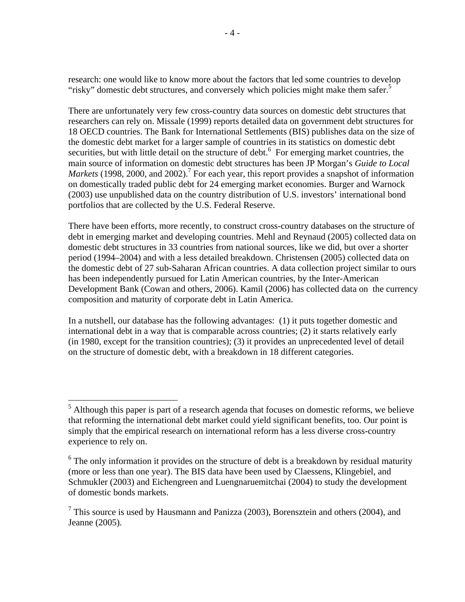research: one would like to know more about the factors that led some countries to develop "risky" domestic debt structures, and conversely which policies might make them safer.<sup>5</sup>

There are unfortunately very few cross-country data sources on domestic debt structures that researchers can rely on. Missale (1999) reports detailed data on government debt structures for 18 OECD countries. The Bank for International Settlements (BIS) publishes data on the size of the domestic debt market for a larger sample of countries in its statistics on domestic debt securities, but with little detail on the structure of debt.<sup>6</sup> For emerging market countries, the main source of information on domestic debt structures has been JP Morgan's *Guide to Local*  Markets (1998, 2000, and 2002).<sup>7</sup> For each year, this report provides a snapshot of information on domestically traded public debt for 24 emerging market economies. Burger and Warnock (2003) use unpublished data on the country distribution of U.S. investors' international bond portfolios that are collected by the U.S. Federal Reserve.

There have been efforts, more recently, to construct cross-country databases on the structure of debt in emerging market and developing countries. Mehl and Reynaud (2005) collected data on domestic debt structures in 33 countries from national sources, like we did, but over a shorter period (1994–2004) and with a less detailed breakdown. Christensen (2005) collected data on the domestic debt of 27 sub-Saharan African countries. A data collection project similar to ours has been independently pursued for Latin American countries, by the Inter-American Development Bank (Cowan and others, 2006). Kamil (2006) has collected data on the currency composition and maturity of corporate debt in Latin America.

In a nutshell, our database has the following advantages: (1) it puts together domestic and international debt in a way that is comparable across countries; (2) it starts relatively early (in 1980, except for the transition countries); (3) it provides an unprecedented level of detail on the structure of domestic debt, with a breakdown in 18 different categories.

<u>.</u>

 $<sup>5</sup>$  Although this paper is part of a research agenda that focuses on domestic reforms, we believe</sup> that reforming the international debt market could yield significant benefits, too. Our point is simply that the empirical research on international reform has a less diverse cross-country experience to rely on.

 $6$  The only information it provides on the structure of debt is a breakdown by residual maturity (more or less than one year). The BIS data have been used by Claessens, Klingebiel, and Schmukler (2003) and Eichengreen and Luengnaruemitchai (2004) to study the development of domestic bonds markets.

<sup>&</sup>lt;sup>7</sup> This source is used by Hausmann and Panizza (2003), Borensztein and others (2004), and Jeanne (2005).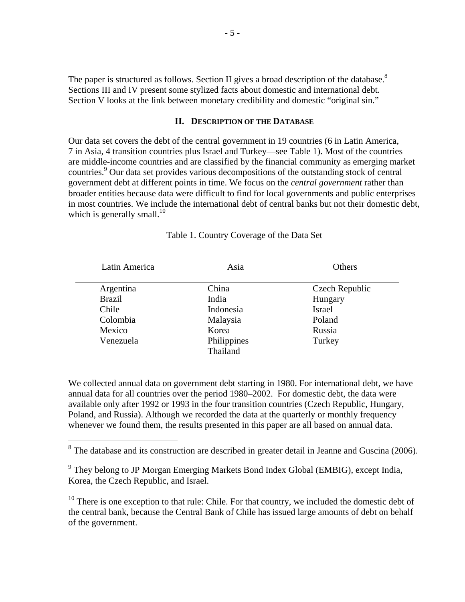The paper is structured as follows. Section II gives a broad description of the database.<sup>8</sup> Sections III and IV present some stylized facts about domestic and international debt. Section V looks at the link between monetary credibility and domestic "original sin."

# **II. DESCRIPTION OF THE DATABASE**

Our data set covers the debt of the central government in 19 countries (6 in Latin America, 7 in Asia, 4 transition countries plus Israel and Turkey—see Table 1). Most of the countries are middle-income countries and are classified by the financial community as emerging market countries.<sup>9</sup> Our data set provides various decompositions of the outstanding stock of central government debt at different points in time. We focus on the *central government* rather than broader entities because data were difficult to find for local governments and public enterprises in most countries. We include the international debt of central banks but not their domestic debt, which is generally small.<sup>10</sup>

| Latin America | Asia        | Others         |
|---------------|-------------|----------------|
| Argentina     | China       | Czech Republic |
| <b>Brazil</b> | India       | Hungary        |
| Chile         | Indonesia   | <b>Israel</b>  |
| Colombia      | Malaysia    | Poland         |
| Mexico        | Korea       | <b>Russia</b>  |
| Venezuela     | Philippines | Turkey         |
|               | Thailand    |                |

Table 1. Country Coverage of the Data Set

We collected annual data on government debt starting in 1980. For international debt, we have annual data for all countries over the period 1980–2002. For domestic debt, the data were available only after 1992 or 1993 in the four transition countries (Czech Republic, Hungary, Poland, and Russia). Although we recorded the data at the quarterly or monthly frequency whenever we found them, the results presented in this paper are all based on annual data.

 $10$  There is one exception to that rule: Chile. For that country, we included the domestic debt of the central bank, because the Central Bank of Chile has issued large amounts of debt on behalf of the government.

<sup>&</sup>lt;sup>8</sup> The database and its construction are described in greater detail in Jeanne and Guscina (2006).

<sup>&</sup>lt;sup>9</sup> They belong to JP Morgan Emerging Markets Bond Index Global (EMBIG), except India, Korea, the Czech Republic, and Israel.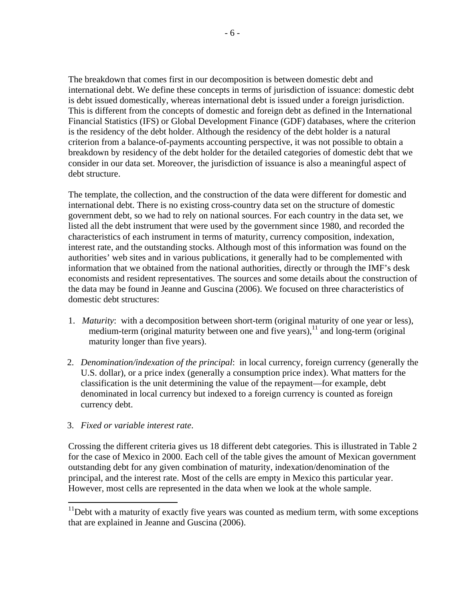The breakdown that comes first in our decomposition is between domestic debt and international debt. We define these concepts in terms of jurisdiction of issuance: domestic debt is debt issued domestically, whereas international debt is issued under a foreign jurisdiction. This is different from the concepts of domestic and foreign debt as defined in the International Financial Statistics (IFS) or Global Development Finance (GDF) databases, where the criterion is the residency of the debt holder. Although the residency of the debt holder is a natural criterion from a balance-of-payments accounting perspective, it was not possible to obtain a breakdown by residency of the debt holder for the detailed categories of domestic debt that we consider in our data set. Moreover, the jurisdiction of issuance is also a meaningful aspect of debt structure.

The template, the collection, and the construction of the data were different for domestic and international debt. There is no existing cross-country data set on the structure of domestic government debt, so we had to rely on national sources. For each country in the data set, we listed all the debt instrument that were used by the government since 1980, and recorded the characteristics of each instrument in terms of maturity, currency composition, indexation, interest rate, and the outstanding stocks. Although most of this information was found on the authorities' web sites and in various publications, it generally had to be complemented with information that we obtained from the national authorities, directly or through the IMF's desk economists and resident representatives. The sources and some details about the construction of the data may be found in Jeanne and Guscina (2006). We focused on three characteristics of domestic debt structures:

- 1. *Maturity*: with a decomposition between short-term (original maturity of one year or less), medium-term (original maturity between one and five years), $11$  and long-term (original maturity longer than five years).
- 2. *Denomination/indexation of the principal*: in local currency, foreign currency (generally the U.S. dollar), or a price index (generally a consumption price index). What matters for the classification is the unit determining the value of the repayment—for example, debt denominated in local currency but indexed to a foreign currency is counted as foreign currency debt.

## 3. *Fixed or variable interest rate*.

 $\overline{a}$ 

Crossing the different criteria gives us 18 different debt categories. This is illustrated in Table 2 for the case of Mexico in 2000. Each cell of the table gives the amount of Mexican government outstanding debt for any given combination of maturity, indexation/denomination of the principal, and the interest rate. Most of the cells are empty in Mexico this particular year. However, most cells are represented in the data when we look at the whole sample.

 $11$ Debt with a maturity of exactly five years was counted as medium term, with some exceptions that are explained in Jeanne and Guscina (2006).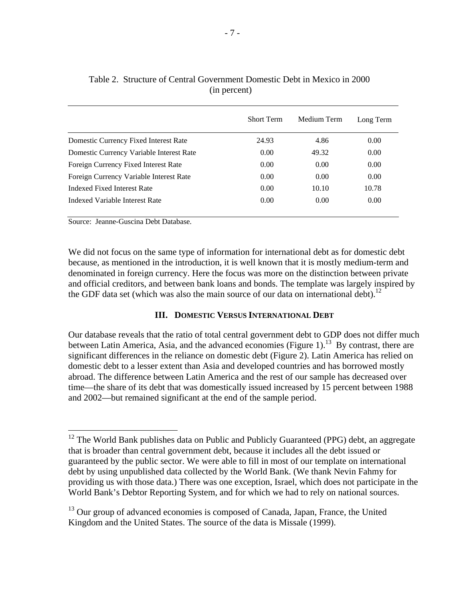|                                          | <b>Short Term</b> | Medium Term | Long Term |
|------------------------------------------|-------------------|-------------|-----------|
| Domestic Currency Fixed Interest Rate    | 24.93             | 4.86        | 0.00      |
| Domestic Currency Variable Interest Rate | 0.00              | 49.32       | 0.00      |
| Foreign Currency Fixed Interest Rate     | 0.00              | 0.00        | 0.00      |
| Foreign Currency Variable Interest Rate  | 0.00              | 0.00        | 0.00      |
| Indexed Fixed Interest Rate              | 0.00              | 10.10       | 10.78     |
| Indexed Variable Interest Rate           | 0.00              | 0.00        | 0.00      |

| Table 2. Structure of Central Government Domestic Debt in Mexico in 2000 |
|--------------------------------------------------------------------------|
| (in percent)                                                             |

Source: Jeanne-Guscina Debt Database.

 $\overline{a}$ 

We did not focus on the same type of information for international debt as for domestic debt because, as mentioned in the introduction, it is well known that it is mostly medium-term and denominated in foreign currency. Here the focus was more on the distinction between private and official creditors, and between bank loans and bonds. The template was largely inspired by the GDF data set (which was also the main source of our data on international debt).<sup>12</sup>

## **III. DOMESTIC VERSUS INTERNATIONAL DEBT**

Our database reveals that the ratio of total central government debt to GDP does not differ much between Latin America, Asia, and the advanced economies (Figure 1).<sup>13</sup> By contrast, there are significant differences in the reliance on domestic debt (Figure 2). Latin America has relied on domestic debt to a lesser extent than Asia and developed countries and has borrowed mostly abroad. The difference between Latin America and the rest of our sample has decreased over time—the share of its debt that was domestically issued increased by 15 percent between 1988 and 2002—but remained significant at the end of the sample period.

<sup>13</sup> Our group of advanced economies is composed of Canada, Japan, France, the United Kingdom and the United States. The source of the data is Missale (1999).

 $12$  The World Bank publishes data on Public and Publicly Guaranteed (PPG) debt, an aggregate that is broader than central government debt, because it includes all the debt issued or guaranteed by the public sector. We were able to fill in most of our template on international debt by using unpublished data collected by the World Bank. (We thank Nevin Fahmy for providing us with those data.) There was one exception, Israel, which does not participate in the World Bank's Debtor Reporting System, and for which we had to rely on national sources.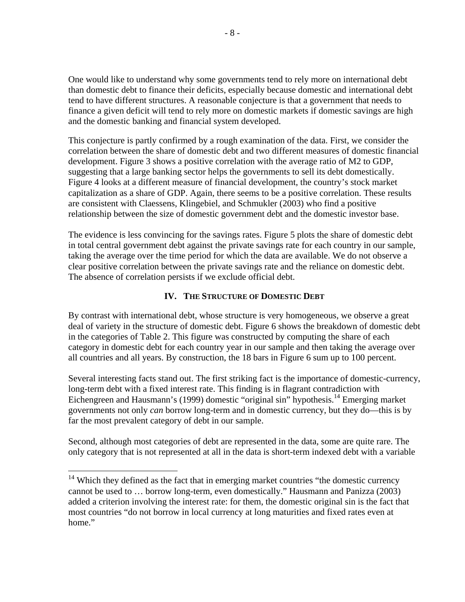One would like to understand why some governments tend to rely more on international debt than domestic debt to finance their deficits, especially because domestic and international debt tend to have different structures. A reasonable conjecture is that a government that needs to finance a given deficit will tend to rely more on domestic markets if domestic savings are high and the domestic banking and financial system developed.

This conjecture is partly confirmed by a rough examination of the data. First, we consider the correlation between the share of domestic debt and two different measures of domestic financial development. Figure 3 shows a positive correlation with the average ratio of M2 to GDP, suggesting that a large banking sector helps the governments to sell its debt domestically. Figure 4 looks at a different measure of financial development, the country's stock market capitalization as a share of GDP. Again, there seems to be a positive correlation. These results are consistent with Claessens, Klingebiel, and Schmukler (2003) who find a positive relationship between the size of domestic government debt and the domestic investor base.

The evidence is less convincing for the savings rates. Figure 5 plots the share of domestic debt in total central government debt against the private savings rate for each country in our sample, taking the average over the time period for which the data are available. We do not observe a clear positive correlation between the private savings rate and the reliance on domestic debt. The absence of correlation persists if we exclude official debt.

# **IV. THE STRUCTURE OF DOMESTIC DEBT**

By contrast with international debt, whose structure is very homogeneous, we observe a great deal of variety in the structure of domestic debt. Figure 6 shows the breakdown of domestic debt in the categories of Table 2. This figure was constructed by computing the share of each category in domestic debt for each country year in our sample and then taking the average over all countries and all years. By construction, the 18 bars in Figure 6 sum up to 100 percent.

Several interesting facts stand out. The first striking fact is the importance of domestic-currency, long-term debt with a fixed interest rate. This finding is in flagrant contradiction with Eichengreen and Hausmann's (1999) domestic "original sin" hypothesis.14 Emerging market governments not only *can* borrow long-term and in domestic currency, but they do—this is by far the most prevalent category of debt in our sample.

Second, although most categories of debt are represented in the data, some are quite rare. The only category that is not represented at all in the data is short-term indexed debt with a variable

 $\overline{a}$ 

 $14$  Which they defined as the fact that in emerging market countries "the domestic currency cannot be used to … borrow long-term, even domestically." Hausmann and Panizza (2003) added a criterion involving the interest rate: for them, the domestic original sin is the fact that most countries "do not borrow in local currency at long maturities and fixed rates even at home."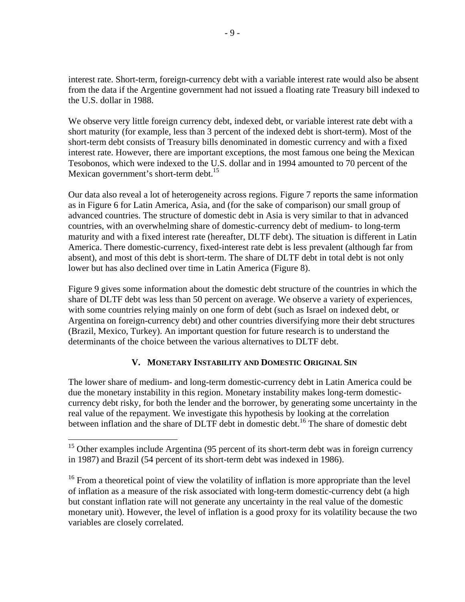interest rate. Short-term, foreign-currency debt with a variable interest rate would also be absent from the data if the Argentine government had not issued a floating rate Treasury bill indexed to the U.S. dollar in 1988.

We observe very little foreign currency debt, indexed debt, or variable interest rate debt with a short maturity (for example, less than 3 percent of the indexed debt is short-term). Most of the short-term debt consists of Treasury bills denominated in domestic currency and with a fixed interest rate. However, there are important exceptions, the most famous one being the Mexican Tesobonos, which were indexed to the U.S. dollar and in 1994 amounted to 70 percent of the Mexican government's short-term debt.<sup>15</sup>

Our data also reveal a lot of heterogeneity across regions. Figure 7 reports the same information as in Figure 6 for Latin America, Asia, and (for the sake of comparison) our small group of advanced countries. The structure of domestic debt in Asia is very similar to that in advanced countries, with an overwhelming share of domestic-currency debt of medium- to long-term maturity and with a fixed interest rate (hereafter, DLTF debt). The situation is different in Latin America. There domestic-currency, fixed-interest rate debt is less prevalent (although far from absent), and most of this debt is short-term. The share of DLTF debt in total debt is not only lower but has also declined over time in Latin America (Figure 8).

Figure 9 gives some information about the domestic debt structure of the countries in which the share of DLTF debt was less than 50 percent on average. We observe a variety of experiences, with some countries relying mainly on one form of debt (such as Israel on indexed debt, or Argentina on foreign-currency debt) and other countries diversifying more their debt structures (Brazil, Mexico, Turkey). An important question for future research is to understand the determinants of the choice between the various alternatives to DLTF debt.

# **V. MONETARY INSTABILITY AND DOMESTIC ORIGINAL SIN**

The lower share of medium- and long-term domestic-currency debt in Latin America could be due the monetary instability in this region. Monetary instability makes long-term domesticcurrency debt risky, for both the lender and the borrower, by generating some uncertainty in the real value of the repayment. We investigate this hypothesis by looking at the correlation between inflation and the share of DLTF debt in domestic debt.<sup>16</sup> The share of domestic debt

 $\overline{a}$ 

<sup>&</sup>lt;sup>15</sup> Other examples include Argentina (95 percent of its short-term debt was in foreign currency in 1987) and Brazil (54 percent of its short-term debt was indexed in 1986).

<sup>&</sup>lt;sup>16</sup> From a theoretical point of view the volatility of inflation is more appropriate than the level of inflation as a measure of the risk associated with long-term domestic-currency debt (a high but constant inflation rate will not generate any uncertainty in the real value of the domestic monetary unit). However, the level of inflation is a good proxy for its volatility because the two variables are closely correlated.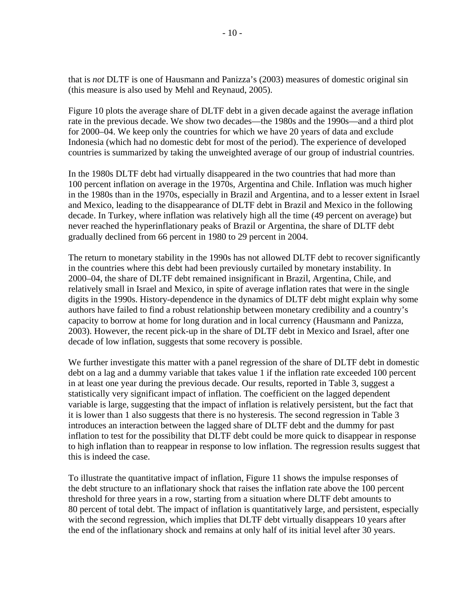that is *not* DLTF is one of Hausmann and Panizza's (2003) measures of domestic original sin (this measure is also used by Mehl and Reynaud, 2005).

Figure 10 plots the average share of DLTF debt in a given decade against the average inflation rate in the previous decade. We show two decades—the 1980s and the 1990s—and a third plot for 2000–04. We keep only the countries for which we have 20 years of data and exclude Indonesia (which had no domestic debt for most of the period). The experience of developed countries is summarized by taking the unweighted average of our group of industrial countries.

In the 1980s DLTF debt had virtually disappeared in the two countries that had more than 100 percent inflation on average in the 1970s, Argentina and Chile. Inflation was much higher in the 1980s than in the 1970s, especially in Brazil and Argentina, and to a lesser extent in Israel and Mexico, leading to the disappearance of DLTF debt in Brazil and Mexico in the following decade. In Turkey, where inflation was relatively high all the time (49 percent on average) but never reached the hyperinflationary peaks of Brazil or Argentina, the share of DLTF debt gradually declined from 66 percent in 1980 to 29 percent in 2004.

The return to monetary stability in the 1990s has not allowed DLTF debt to recover significantly in the countries where this debt had been previously curtailed by monetary instability. In 2000–04, the share of DLTF debt remained insignificant in Brazil, Argentina, Chile, and relatively small in Israel and Mexico, in spite of average inflation rates that were in the single digits in the 1990s. History-dependence in the dynamics of DLTF debt might explain why some authors have failed to find a robust relationship between monetary credibility and a country's capacity to borrow at home for long duration and in local currency (Hausmann and Panizza, 2003). However, the recent pick-up in the share of DLTF debt in Mexico and Israel, after one decade of low inflation, suggests that some recovery is possible.

We further investigate this matter with a panel regression of the share of DLTF debt in domestic debt on a lag and a dummy variable that takes value 1 if the inflation rate exceeded 100 percent in at least one year during the previous decade. Our results, reported in Table 3, suggest a statistically very significant impact of inflation. The coefficient on the lagged dependent variable is large, suggesting that the impact of inflation is relatively persistent, but the fact that it is lower than 1 also suggests that there is no hysteresis. The second regression in Table 3 introduces an interaction between the lagged share of DLTF debt and the dummy for past inflation to test for the possibility that DLTF debt could be more quick to disappear in response to high inflation than to reappear in response to low inflation. The regression results suggest that this is indeed the case.

To illustrate the quantitative impact of inflation, Figure 11 shows the impulse responses of the debt structure to an inflationary shock that raises the inflation rate above the 100 percent threshold for three years in a row, starting from a situation where DLTF debt amounts to 80 percent of total debt. The impact of inflation is quantitatively large, and persistent, especially with the second regression, which implies that DLTF debt virtually disappears 10 years after the end of the inflationary shock and remains at only half of its initial level after 30 years.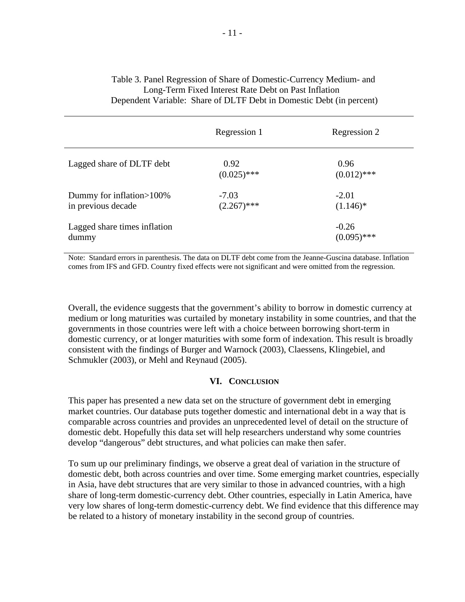# Table 3. Panel Regression of Share of Domestic-Currency Medium- and Long-Term Fixed Interest Rate Debt on Past Inflation Dependent Variable: Share of DLTF Debt in Domestic Debt (in percent)

|                                                  | Regression 1             | Regression 2             |
|--------------------------------------------------|--------------------------|--------------------------|
| Lagged share of DLTF debt                        | 0.92<br>$(0.025)$ ***    | 0.96<br>$(0.012)$ ***    |
| Dummy for inflation > 100%<br>in previous decade | $-7.03$<br>$(2.267)$ *** | $-2.01$<br>$(1.146)^*$   |
| Lagged share times inflation<br>dummy            |                          | $-0.26$<br>$(0.095)$ *** |

Note: Standard errors in parenthesis. The data on DLTF debt come from the Jeanne-Guscina database. Inflation comes from IFS and GFD. Country fixed effects were not significant and were omitted from the regression.

Overall, the evidence suggests that the government's ability to borrow in domestic currency at medium or long maturities was curtailed by monetary instability in some countries, and that the governments in those countries were left with a choice between borrowing short-term in domestic currency, or at longer maturities with some form of indexation. This result is broadly consistent with the findings of Burger and Warnock (2003), Claessens, Klingebiel, and Schmukler (2003), or Mehl and Reynaud (2005).

## **VI. CONCLUSION**

This paper has presented a new data set on the structure of government debt in emerging market countries. Our database puts together domestic and international debt in a way that is comparable across countries and provides an unprecedented level of detail on the structure of domestic debt. Hopefully this data set will help researchers understand why some countries develop "dangerous" debt structures, and what policies can make then safer.

To sum up our preliminary findings, we observe a great deal of variation in the structure of domestic debt, both across countries and over time. Some emerging market countries, especially in Asia, have debt structures that are very similar to those in advanced countries, with a high share of long-term domestic-currency debt. Other countries, especially in Latin America, have very low shares of long-term domestic-currency debt. We find evidence that this difference may be related to a history of monetary instability in the second group of countries.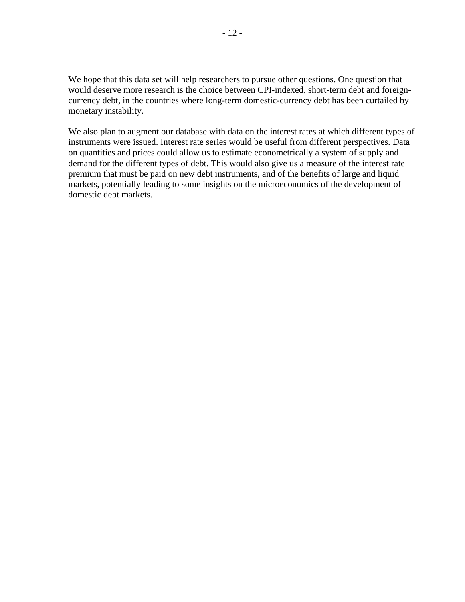We hope that this data set will help researchers to pursue other questions. One question that would deserve more research is the choice between CPI-indexed, short-term debt and foreigncurrency debt, in the countries where long-term domestic-currency debt has been curtailed by monetary instability.

We also plan to augment our database with data on the interest rates at which different types of instruments were issued. Interest rate series would be useful from different perspectives. Data on quantities and prices could allow us to estimate econometrically a system of supply and demand for the different types of debt. This would also give us a measure of the interest rate premium that must be paid on new debt instruments, and of the benefits of large and liquid markets, potentially leading to some insights on the microeconomics of the development of domestic debt markets.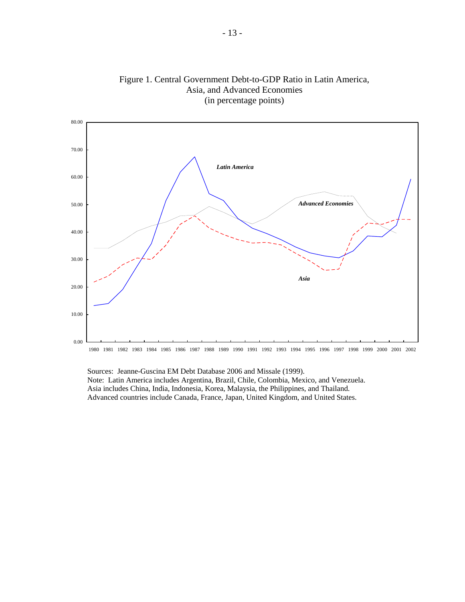

Figure 1. Central Government Debt-to-GDP Ratio in Latin America, Asia, and Advanced Economies (in percentage points)

 Sources: Jeanne-Guscina EM Debt Database 2006 and Missale (1999). Note: Latin America includes Argentina, Brazil, Chile, Colombia, Mexico, and Venezuela. Asia includes China, India, Indonesia, Korea, Malaysia, the Philippines, and Thailand. Advanced countries include Canada, France, Japan, United Kingdom, and United States.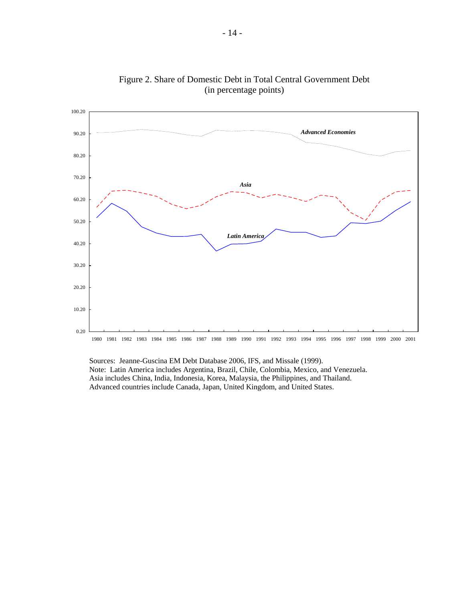

Figure 2. Share of Domestic Debt in Total Central Government Debt (in percentage points)

 Sources: Jeanne-Guscina EM Debt Database 2006, IFS, and Missale (1999). Note: Latin America includes Argentina, Brazil, Chile, Colombia, Mexico, and Venezuela. Asia includes China, India, Indonesia, Korea, Malaysia, the Philippines, and Thailand. Advanced countries include Canada, Japan, United Kingdom, and United States.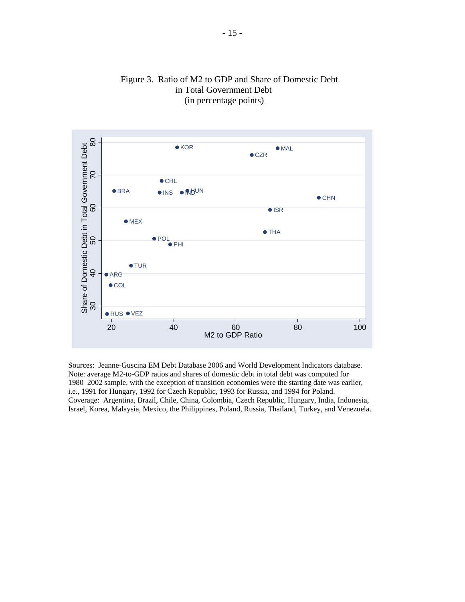

# Figure 3. Ratio of M2 to GDP and Share of Domestic Debt in Total Government Debt (in percentage points)

Sources: Jeanne-Guscina EM Debt Database 2006 and World Development Indicators database. Note: average M2-to-GDP ratios and shares of domestic debt in total debt was computed for 1980–2002 sample, with the exception of transition economies were the starting date was earlier, i.e., 1991 for Hungary, 1992 for Czech Republic, 1993 for Russia, and 1994 for Poland. Coverage: Argentina, Brazil, Chile, China, Colombia, Czech Republic, Hungary, India, Indonesia, Israel, Korea, Malaysia, Mexico, the Philippines, Poland, Russia, Thailand, Turkey, and Venezuela.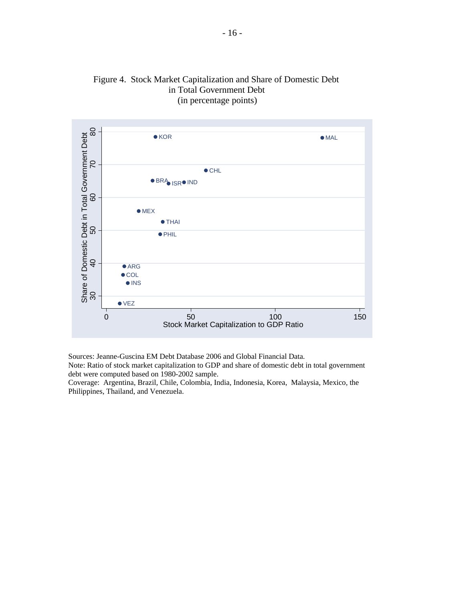



Sources: Jeanne-Guscina EM Debt Database 2006 and Global Financial Data.

Note: Ratio of stock market capitalization to GDP and share of domestic debt in total government debt were computed based on 1980-2002 sample.

Coverage: Argentina, Brazil, Chile, Colombia, India, Indonesia, Korea, Malaysia, Mexico, the Philippines, Thailand, and Venezuela.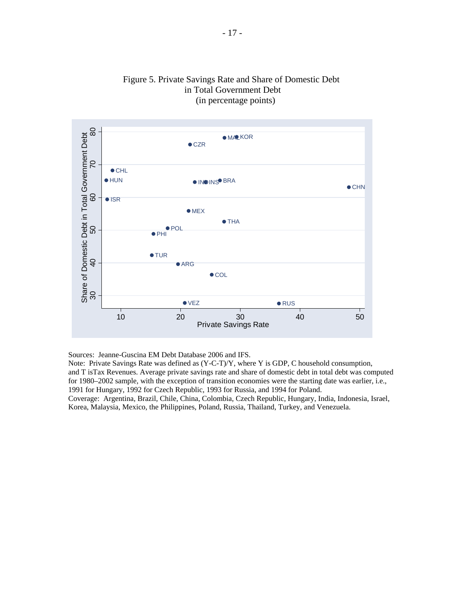

# Figure 5. Private Savings Rate and Share of Domestic Debt in Total Government Debt (in percentage points)

Sources: Jeanne-Guscina EM Debt Database 2006 and IFS.

Note: Private Savings Rate was defined as (Y-C-T)/Y, where Y is GDP, C household consumption, and T isTax Revenues. Average private savings rate and share of domestic debt in total debt was computed for 1980–2002 sample, with the exception of transition economies were the starting date was earlier, i.e., 1991 for Hungary, 1992 for Czech Republic, 1993 for Russia, and 1994 for Poland. Coverage: Argentina, Brazil, Chile, China, Colombia, Czech Republic, Hungary, India, Indonesia, Israel, Korea, Malaysia, Mexico, the Philippines, Poland, Russia, Thailand, Turkey, and Venezuela.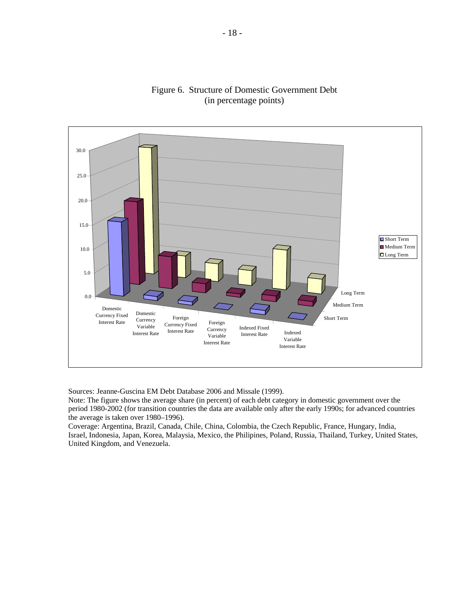

# Figure 6. Structure of Domestic Government Debt (in percentage points)

Sources: Jeanne-Guscina EM Debt Database 2006 and Missale (1999).

Note: The figure shows the average share (in percent) of each debt category in domestic government over the period 1980-2002 (for transition countries the data are available only after the early 1990s; for advanced countries the average is taken over 1980–1996).

Coverage: Argentina, Brazil, Canada, Chile, China, Colombia, the Czech Republic, France, Hungary, India, Israel, Indonesia, Japan, Korea, Malaysia, Mexico, the Philipines, Poland, Russia, Thailand, Turkey, United States, United Kingdom, and Venezuela.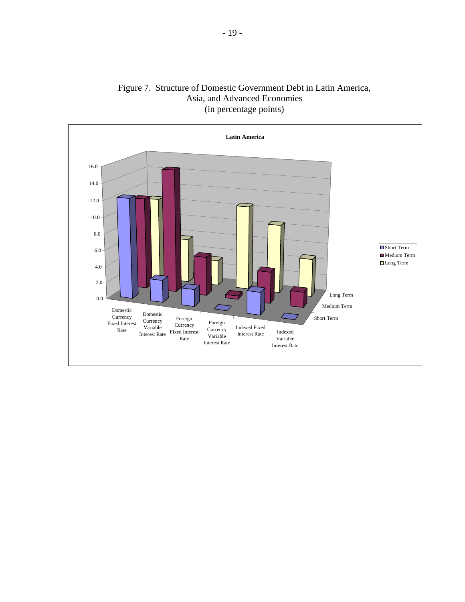

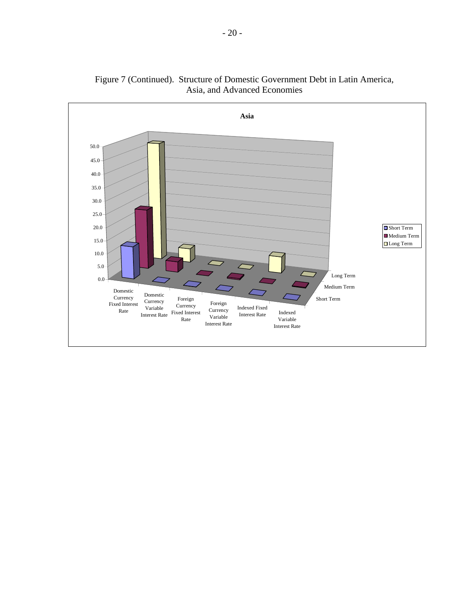

Figure 7 (Continued). Structure of Domestic Government Debt in Latin America, Asia, and Advanced Economies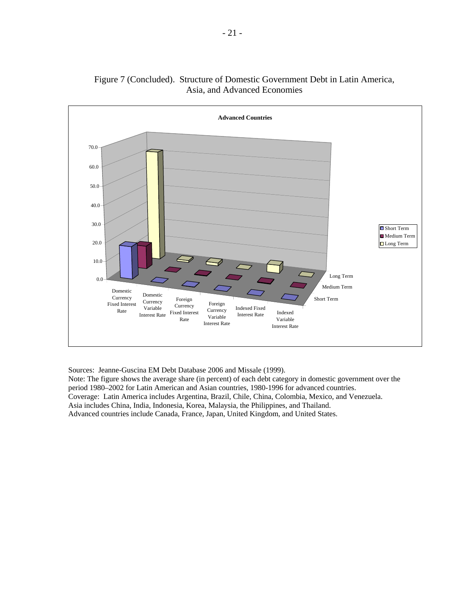

# Figure 7 (Concluded). Structure of Domestic Government Debt in Latin America, Asia, and Advanced Economies

Sources: Jeanne-Guscina EM Debt Database 2006 and Missale (1999).

Note: The figure shows the average share (in percent) of each debt category in domestic government over the period 1980–2002 for Latin American and Asian countries, 1980-1996 for advanced countries. Coverage: Latin America includes Argentina, Brazil, Chile, China, Colombia, Mexico, and Venezuela. Asia includes China, India, Indonesia, Korea, Malaysia, the Philippines, and Thailand. Advanced countries include Canada, France, Japan, United Kingdom, and United States.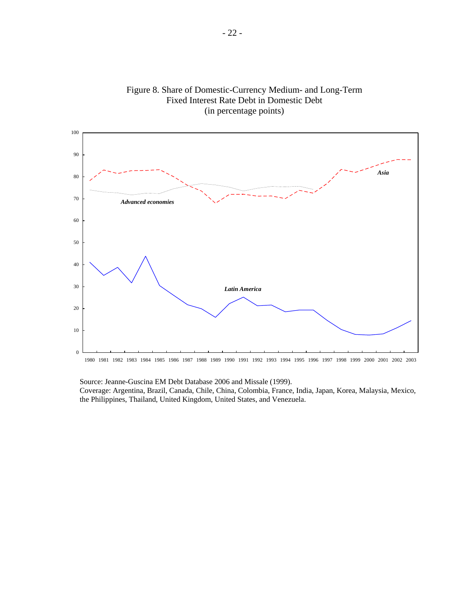



 Source: Jeanne-Guscina EM Debt Database 2006 and Missale (1999). Coverage: Argentina, Brazil, Canada, Chile, China, Colombia, France, India, Japan, Korea, Malaysia, Mexico, the Philippines, Thailand, United Kingdom, United States, and Venezuela.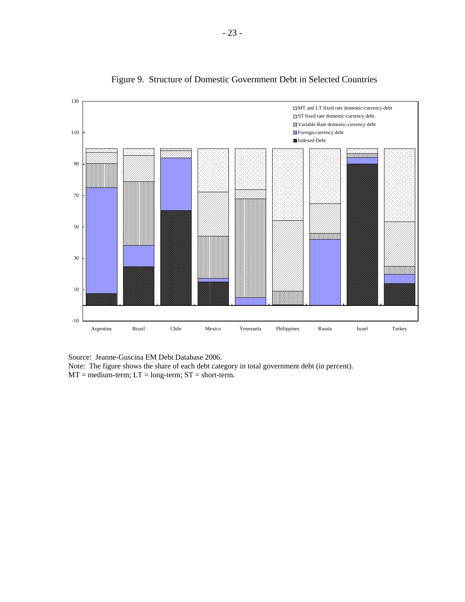

Figure 9. Structure of Domestic Government Debt in Selected Countries

Source: Jeanne-Guscina EM Debt Database 2006.

Note: The figure shows the share of each debt category in total government debt (in percent).  $MT = medium$ -term;  $LT = long$ -term;  $ST = short$ -term.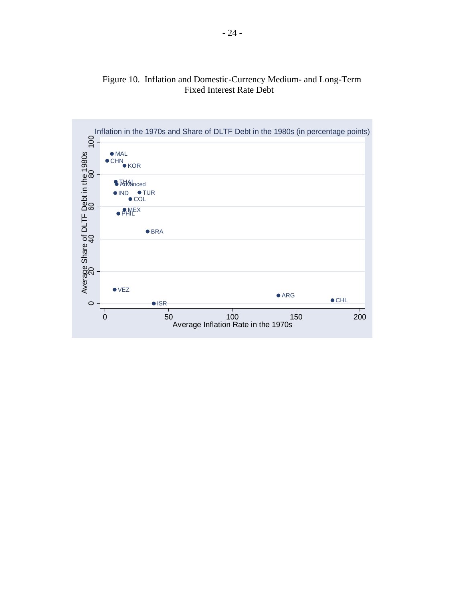

# Figure 10. Inflation and Domestic-Currency Medium- and Long-Term Fixed Interest Rate Debt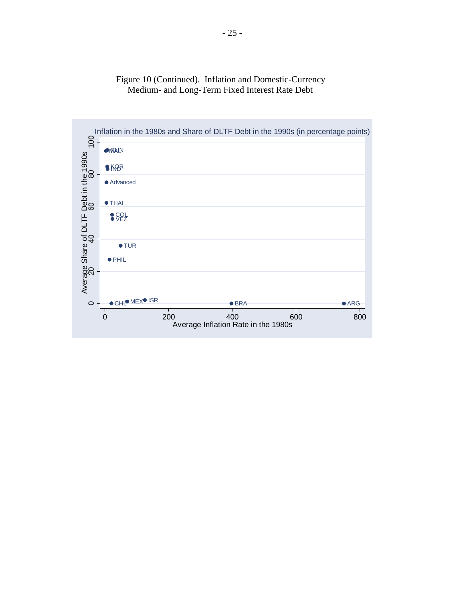

# Figure 10 (Continued). Inflation and Domestic-Currency Medium- and Long-Term Fixed Interest Rate Debt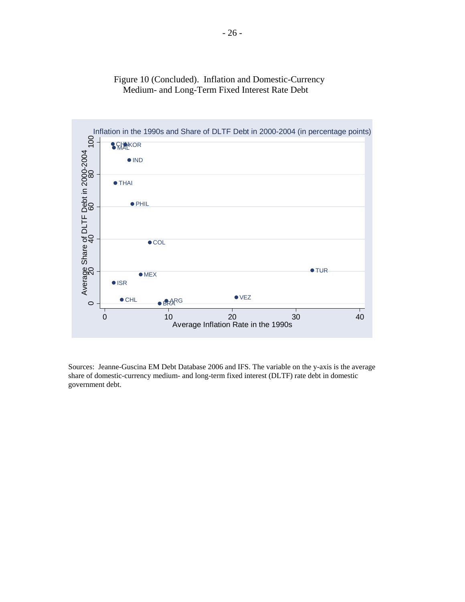

# Figure 10 (Concluded). Inflation and Domestic-Currency Medium- and Long-Term Fixed Interest Rate Debt

Sources: Jeanne-Guscina EM Debt Database 2006 and IFS. The variable on the y-axis is the average share of domestic-currency medium- and long-term fixed interest (DLTF) rate debt in domestic government debt.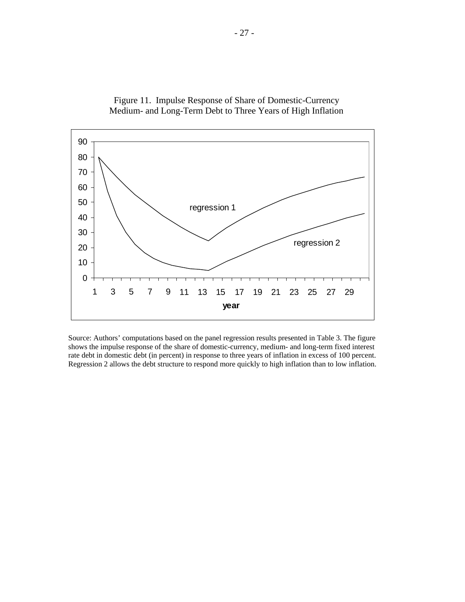

 Figure 11. Impulse Response of Share of Domestic-Currency Medium- and Long-Term Debt to Three Years of High Inflation

Source: Authors' computations based on the panel regression results presented in Table 3. The figure shows the impulse response of the share of domestic-currency, medium- and long-term fixed interest rate debt in domestic debt (in percent) in response to three years of inflation in excess of 100 percent. Regression 2 allows the debt structure to respond more quickly to high inflation than to low inflation.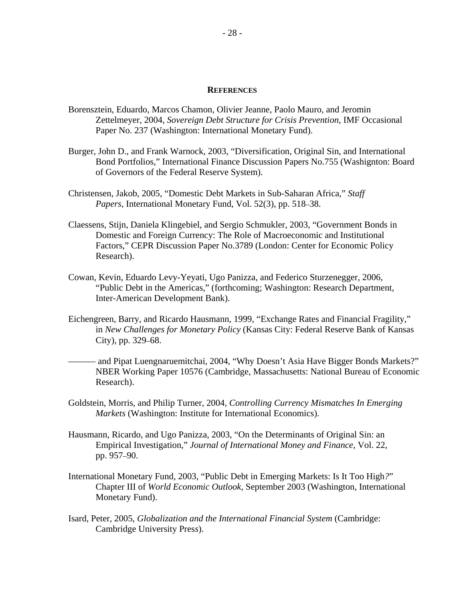#### **REFERENCES**

- Borensztein, Eduardo, Marcos Chamon, Olivier Jeanne, Paolo Mauro, and Jeromin Zettelmeyer, 2004, *Sovereign Debt Structure for Crisis Prevention*, IMF Occasional Paper No. 237 (Washington: International Monetary Fund).
- Burger, John D., and Frank Warnock, 2003, "Diversification, Original Sin, and International Bond Portfolios," International Finance Discussion Papers No.755 (Washignton: Board of Governors of the Federal Reserve System).
- Christensen, Jakob, 2005, "Domestic Debt Markets in Sub-Saharan Africa," *Staff Papers,* International Monetary Fund, Vol. 52(3), pp. 518–38.
- Claessens, Stijn, Daniela Klingebiel, and Sergio Schmukler, 2003, "Government Bonds in Domestic and Foreign Currency: The Role of Macroeconomic and Institutional Factors," CEPR Discussion Paper No.3789 (London: Center for Economic Policy Research).
- Cowan, Kevin, Eduardo Levy-Yeyati, Ugo Panizza, and Federico Sturzenegger, 2006, "Public Debt in the Americas," (forthcoming; Washington: Research Department, Inter-American Development Bank).
- Eichengreen, Barry, and Ricardo Hausmann, 1999, "Exchange Rates and Financial Fragility," in *New Challenges for Monetary Policy* (Kansas City: Federal Reserve Bank of Kansas City), pp. 329–68.
- and Pipat Luengnaruemitchai, 2004, "Why Doesn't Asia Have Bigger Bonds Markets?" NBER Working Paper 10576 (Cambridge, Massachusetts: National Bureau of Economic Research).
- Goldstein, Morris, and Philip Turner, 2004, *Controlling Currency Mismatches In Emerging Markets* (Washington: Institute for International Economics).
- Hausmann, Ricardo, and Ugo Panizza, 2003, "On the Determinants of Original Sin: an Empirical Investigation," *Journal of International Money and Finance*, Vol. 22, pp. 957–90.
- International Monetary Fund, 2003, "Public Debt in Emerging Markets: Is It Too High*?*" Chapter III of *World Economic Outlook,* September 2003 (Washington, International Monetary Fund).
- Isard, Peter, 2005, *Globalization and the International Financial System* (Cambridge: Cambridge University Pres*s*).